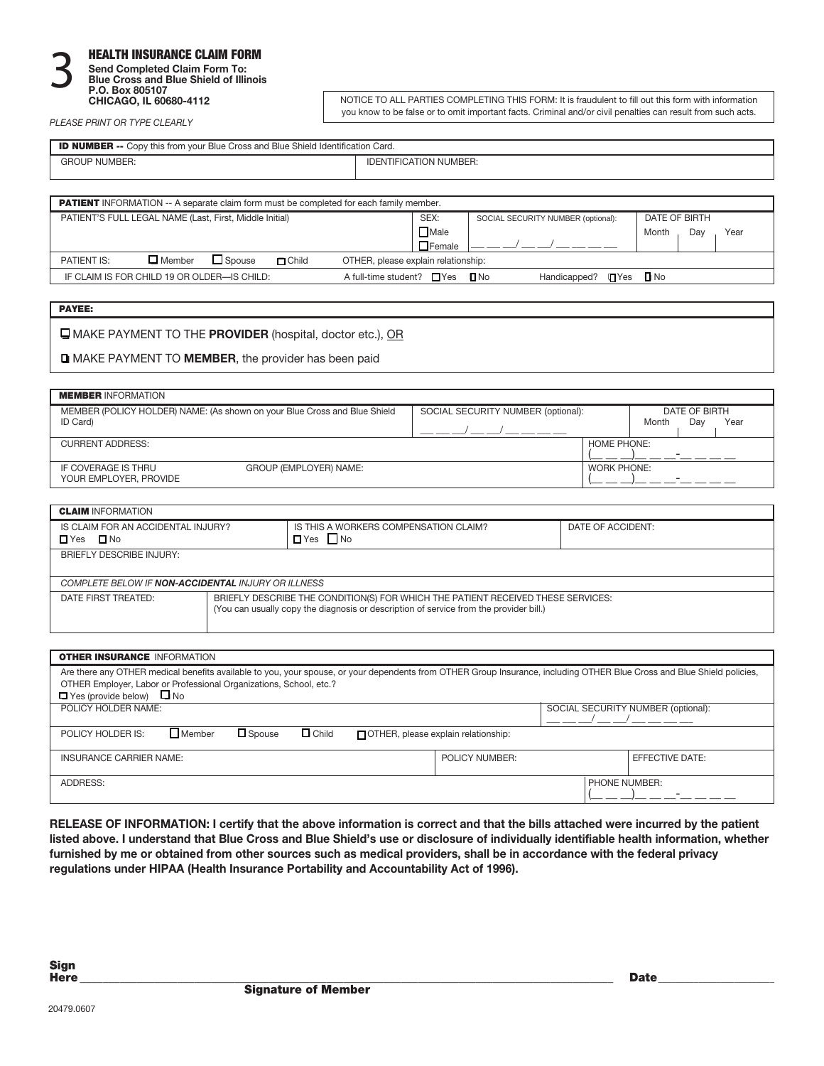#### HEALTH INSURANCE CLAIM FORM **Send Completed Claim Form To: Blue Cross and Blue Shield of Illinois 3**

| P.O. Box 805107 |                        |  |  |  |  |
|-----------------|------------------------|--|--|--|--|
|                 | CHICAGO, IL 60680-4112 |  |  |  |  |

NOTICE TO ALL PARTIES COMPLETING THIS FORM: It is fraudulent to fill out this form with information you know to be false or to omit important facts. Criminal and/or civil penalties can result from such acts.

*PLEASE PRINT OR TYPE CLEARLY*

| <b>ID NUMBER --</b> Copy this from your Blue Cross and Blue Shield Identification Card. |                               |  |  |  |
|-----------------------------------------------------------------------------------------|-------------------------------|--|--|--|
| <b>GROUP NUMBER:</b>                                                                    | <b>IDENTIFICATION NUMBER:</b> |  |  |  |

| <b>PATIENT</b> INFORMATION -- A separate claim form must be completed for each family member.        |               |                                    |                      |  |  |
|------------------------------------------------------------------------------------------------------|---------------|------------------------------------|----------------------|--|--|
| PATIENT'S FULL LEGAL NAME (Last, First, Middle Initial)                                              | SEX:          | SOCIAL SECURITY NUMBER (optional): | DATE OF BIRTH        |  |  |
|                                                                                                      |               |                                    | Month<br>Day<br>Year |  |  |
|                                                                                                      | $\Box$ Female |                                    |                      |  |  |
| $\Box$ Spouse<br>$\Box$ Member<br>OTHER, please explain relationship:<br>PATIENT IS:<br>$\Box$ Child |               |                                    |                      |  |  |
| A full-time student? $\Box$ Yes $\Box$ No<br>IF CLAIM IS FOR CHILD 19 OR OLDER—IS CHILD:             |               | Handicapped? <b>T</b> Yes T No     |                      |  |  |

MAKE PAYMENT TO THE **PROVIDER** (hospital, doctor etc.), OR

MAKE PAYMENT TO **MEMBER**, the provider has been paid

| <b>MEMBER INFORMATION</b>                                                             |                        |                                    |                    |       |                      |      |
|---------------------------------------------------------------------------------------|------------------------|------------------------------------|--------------------|-------|----------------------|------|
| MEMBER (POLICY HOLDER) NAME: (As shown on your Blue Cross and Blue Shield<br>ID Card) |                        | SOCIAL SECURITY NUMBER (optional): |                    | Month | DATE OF BIRTH<br>Day | Year |
|                                                                                       |                        |                                    |                    |       |                      |      |
| <b>CURRENT ADDRESS:</b>                                                               |                        |                                    | HOME PHONE:        |       |                      |      |
| IF COVERAGE IS THRU<br>YOUR EMPLOYER, PROVIDE                                         | GROUP (EMPLOYER) NAME: |                                    | <b>WORK PHONE:</b> |       |                      |      |

| <b>CLAIM INFORMATION</b>                                                                                                                                                                          |  |                                                               |                   |  |  |  |
|---------------------------------------------------------------------------------------------------------------------------------------------------------------------------------------------------|--|---------------------------------------------------------------|-------------------|--|--|--|
| IS CLAIM FOR AN ACCIDENTAL INJURY?<br>$\square$ No<br>$\Box$ Yes                                                                                                                                  |  | IS THIS A WORKERS COMPENSATION CLAIM?<br>$\Box$ Yes $\Box$ No | DATE OF ACCIDENT: |  |  |  |
| BRIEFLY DESCRIBE INJURY:                                                                                                                                                                          |  |                                                               |                   |  |  |  |
| COMPLETE BELOW IF <b>NON-ACCIDENTAL</b> INJURY OR ILLNESS                                                                                                                                         |  |                                                               |                   |  |  |  |
| BRIEFLY DESCRIBE THE CONDITION(S) FOR WHICH THE PATIENT RECEIVED THESE SERVICES:<br>DATE FIRST TREATED:<br>(You can usually copy the diagnosis or description of service from the provider bill.) |  |                                                               |                   |  |  |  |

| <b>OTHER INSURANCE INFORMATION</b>                                                                                                                                      |                                             |                                    |                        |  |  |  |
|-------------------------------------------------------------------------------------------------------------------------------------------------------------------------|---------------------------------------------|------------------------------------|------------------------|--|--|--|
| Are there any OTHER medical benefits available to you, your spouse, or your dependents from OTHER Group Insurance, including OTHER Blue Cross and Blue Shield policies, |                                             |                                    |                        |  |  |  |
| OTHER Employer, Labor or Professional Organizations, School, etc.?                                                                                                      |                                             |                                    |                        |  |  |  |
| $\Box$ Yes (provide below) $\Box$ No                                                                                                                                    |                                             |                                    |                        |  |  |  |
| POLICY HOLDER NAME:                                                                                                                                                     |                                             | SOCIAL SECURITY NUMBER (optional): |                        |  |  |  |
|                                                                                                                                                                         |                                             |                                    |                        |  |  |  |
| $\Box$ Member<br>$\Box$ Child<br>$\square$ Spouse<br>POLICY HOLDER IS:                                                                                                  | <b>TOTHER, please explain relationship:</b> |                                    |                        |  |  |  |
|                                                                                                                                                                         |                                             |                                    |                        |  |  |  |
| INSURANCE CARRIER NAME:                                                                                                                                                 | POLICY NUMBER:                              |                                    | <b>EFFECTIVE DATE:</b> |  |  |  |
|                                                                                                                                                                         |                                             |                                    |                        |  |  |  |
| ADDRESS:<br>PHONE NUMBER:                                                                                                                                               |                                             |                                    |                        |  |  |  |
|                                                                                                                                                                         |                                             |                                    |                        |  |  |  |

**RELEASE OF INFORMATION: I certify that the above information is correct and that the bills attached were incurred by the patient listed above. I understand that Blue Cross and Blue Shield's use or disclosure of individually identifiable health information, whether furnished by me or obtained from other sources such as medical providers, shall be in accordance with the federal privacy regulations under HIPAA (Health Insurance Portability and Accountability Act of 1996).**